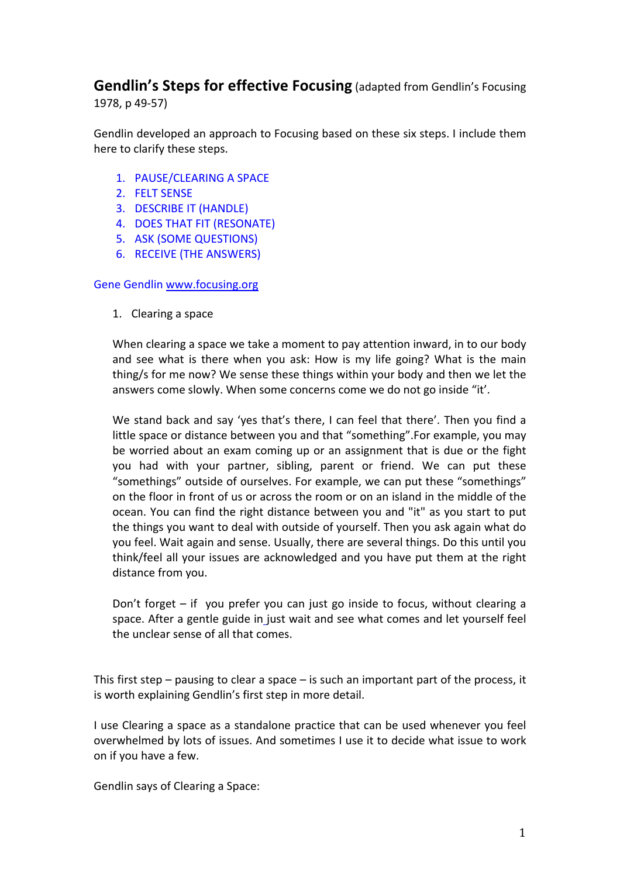# **Gendlin's Steps for effective Focusing** (adapted from Gendlin's Focusing 1978, p 49-57)

Gendlin developed an approach to Focusing based on these six steps. I include them here to clarify these steps.

- 1. PAUSE/CLEARING A SPACE
- 2. FELT SENSE
- 3. DESCRIBE IT (HANDLE)
- 4. DOES THAT FIT (RESONATE)
- 5. ASK (SOME QUESTIONS)
- 6. RECEIVE (THE ANSWERS)

#### Gene Gendlin www.focusing.org

1. Clearing a space

When clearing a space we take a moment to pay attention inward, in to our body and see what is there when you ask: How is my life going? What is the main thing/s for me now? We sense these things within your body and then we let the answers come slowly. When some concerns come we do not go inside "it'.

We stand back and say 'yes that's there, I can feel that there'. Then you find a little space or distance between you and that "something". For example, you may be worried about an exam coming up or an assignment that is due or the fight you had with your partner, sibling, parent or friend. We can put these "somethings" outside of ourselves. For example, we can put these "somethings" on the floor in front of us or across the room or on an island in the middle of the ocean. You can find the right distance between you and "it" as you start to put the things you want to deal with outside of yourself. Then you ask again what do you feel. Wait again and sense. Usually, there are several things. Do this until you think/feel all your issues are acknowledged and you have put them at the right distance from you.

Don't forget  $-$  if you prefer you can just go inside to focus, without clearing a space. After a gentle guide in just wait and see what comes and let yourself feel the unclear sense of all that comes.

This first step – pausing to clear a space – is such an important part of the process, it is worth explaining Gendlin's first step in more detail.

I use Clearing a space as a standalone practice that can be used whenever you feel overwhelmed by lots of issues. And sometimes I use it to decide what issue to work on if you have a few.

Gendlin says of Clearing a Space: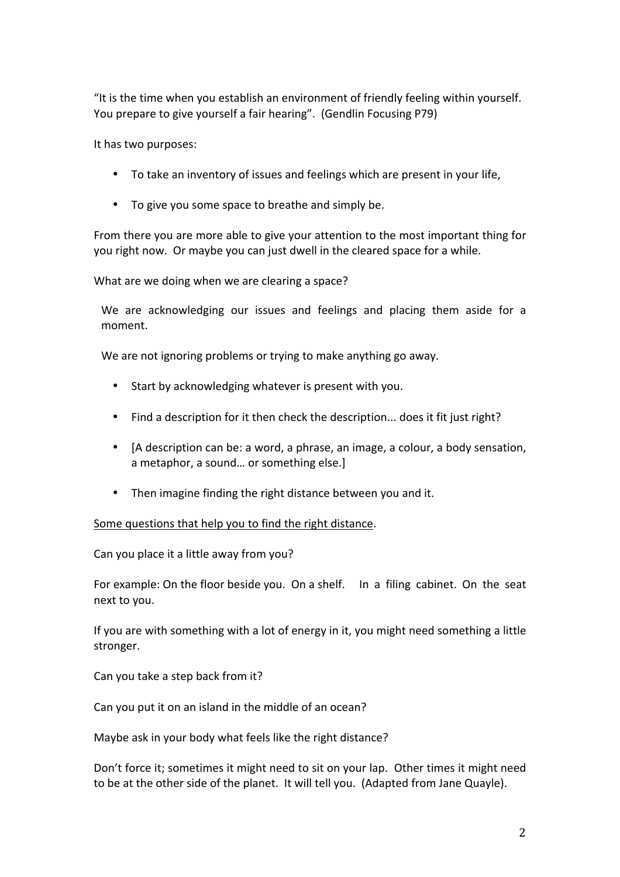"It is the time when you establish an environment of friendly feeling within yourself. You prepare to give vourself a fair hearing". (Gendlin Focusing P79)

It has two purposes:

- To take an inventory of issues and feelings which are present in your life,
- To give you some space to breathe and simply be.

From there you are more able to give your attention to the most important thing for you right now. Or maybe you can just dwell in the cleared space for a while.

What are we doing when we are clearing a space?

We are acknowledging our issues and feelings and placing them aside for a moment. 

We are not ignoring problems or trying to make anything go away.

- Start by acknowledging whatever is present with you.
- Find a description for it then check the description... does it fit just right?
- [A description can be: a word, a phrase, an image, a colour, a body sensation, a metaphor, a sound... or something else.]
- Then imagine finding the right distance between you and it.

Some questions that help you to find the right distance.

Can you place it a little away from you?

For example: On the floor beside you. On a shelf. In a filing cabinet. On the seat next to you.

If you are with something with a lot of energy in it, you might need something a little stronger.

Can you take a step back from it?

Can you put it on an island in the middle of an ocean?

Maybe ask in your body what feels like the right distance?

Don't force it; sometimes it might need to sit on your lap. Other times it might need to be at the other side of the planet. It will tell you. (Adapted from Jane Quayle).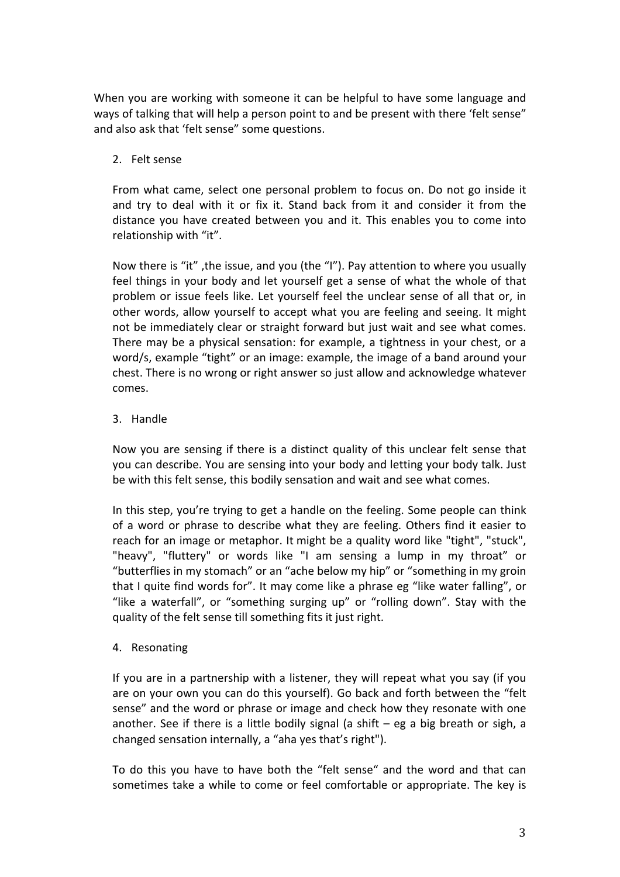When you are working with someone it can be helpful to have some language and ways of talking that will help a person point to and be present with there 'felt sense" and also ask that 'felt sense" some questions.

# 2. Felt sense

From what came, select one personal problem to focus on. Do not go inside it and try to deal with it or fix it. Stand back from it and consider it from the distance you have created between you and it. This enables you to come into relationship with "it".

Now there is "it", the issue, and you (the "I"). Pay attention to where you usually feel things in your body and let yourself get a sense of what the whole of that problem or issue feels like. Let yourself feel the unclear sense of all that or, in other words, allow yourself to accept what you are feeling and seeing. It might not be immediately clear or straight forward but just wait and see what comes. There may be a physical sensation: for example, a tightness in your chest, or a word/s, example "tight" or an image: example, the image of a band around your chest. There is no wrong or right answer so just allow and acknowledge whatever comes.

### 3. Handle

Now you are sensing if there is a distinct quality of this unclear felt sense that you can describe. You are sensing into your body and letting your body talk. Just be with this felt sense, this bodily sensation and wait and see what comes.

In this step, you're trying to get a handle on the feeling. Some people can think of a word or phrase to describe what they are feeling. Others find it easier to reach for an image or metaphor. It might be a quality word like "tight", "stuck", "heavy", "fluttery" or words like "I am sensing a lump in my throat" or "butterflies in my stomach" or an "ache below my hip" or "something in my groin that I quite find words for". It may come like a phrase eg "like water falling", or "like a waterfall", or "something surging up" or "rolling down". Stay with the quality of the felt sense till something fits it just right.

# 4. Resonating

If you are in a partnership with a listener, they will repeat what you say (if you are on your own you can do this yourself). Go back and forth between the "felt sense" and the word or phrase or image and check how they resonate with one another. See if there is a little bodily signal (a shift  $-$  eg a big breath or sigh, a changed sensation internally, a "aha yes that's right").

To do this you have to have both the "felt sense" and the word and that can sometimes take a while to come or feel comfortable or appropriate. The key is